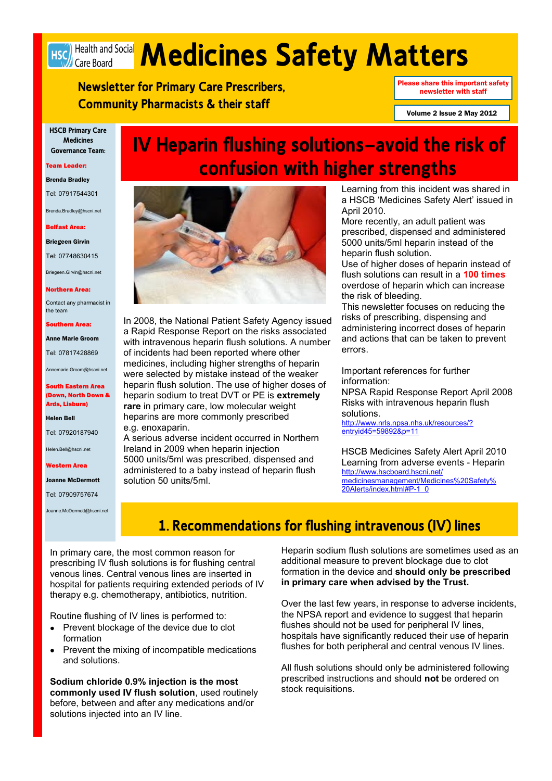# Hsch Health and Social **Medicines Safety Matters**

**IV Heparin flushing solutions—avoid the risk of** 

**Newsletter for Primary Care Prescribers, Community Pharmacists & their staff**

Please share this important safety newsletter with staff

Volume 2 Issue 2 May 2012

**HSCB Primary Care Medicines Governance Team:**

#### Team Leader:

#### Brenda Bradley

Tel: 07917544301

Brenda.Bradley@hscni.net

#### Belfast Area:

Briegeen Girvin

Tel: 07748630415

Briegeen.Girvin@hscni.net

#### orthern Area:

Contact any pharmacist in the team

#### Southern Area:

Anne Marie Groom

Tel: 07817428869

Annemarie.Groom@hscni.net

#### South Eastern Area (Down, North Down & Ards, Lisburn)

#### Helen Bell

Tel: 07920187940

Helen.Bell@hscni.net

#### Western Area

Joanne McDermott

Tel: 07909757674

Joanne.McDermott@hscni.net



In 2008, the National Patient Safety Agency issued a Rapid Response Report on the risks associated with intravenous heparin flush solutions. A number of incidents had been reported where other medicines, including higher strengths of heparin were selected by mistake instead of the weaker heparin flush solution. The use of higher doses of heparin sodium to treat DVT or PE is **extremely rare** in primary care, low molecular weight heparins are more commonly prescribed e.g. enoxaparin.

A serious adverse incident occurred in Northern Ireland in 2009 when heparin injection 5000 units/5ml was prescribed, dispensed and administered to a baby instead of heparin flush solution 50 units/5ml.

Learning from this incident was shared in a HSCB "Medicines Safety Alert" issued in April 2010.

More recently, an adult patient was prescribed, dispensed and administered 5000 units/5ml heparin instead of the heparin flush solution.

Use of higher doses of heparin instead of flush solutions can result in a **100 times**  overdose of heparin which can increase the risk of bleeding.

This newsletter focuses on reducing the risks of prescribing, dispensing and administering incorrect doses of heparin and actions that can be taken to prevent errors.

Important references for further information:

NPSA Rapid Response Report April 2008 Risks with intravenous heparin flush solutions.

[http://www.nrls.npsa.nhs.uk/resources/?](http://www.nrls.npsa.nhs.uk/resources/?entryid45=59892&p=11) [entryid45=59892&p=11](http://www.nrls.npsa.nhs.uk/resources/?entryid45=59892&p=11)

HSCB Medicines Safety Alert April 2010 Learning from adverse events - Heparin [http://www.hscboard.hscni.net/](http://www.hscboard.hscni.net/medicinesmanagement/Medicines%20Safety%20Alerts/index.html#P-1_0) [medicinesmanagement/Medicines%20Safety%](http://www.hscboard.hscni.net/medicinesmanagement/Medicines%20Safety%20Alerts/index.html#P-1_0) [20Alerts/index.html#P-1\\_0](http://www.hscboard.hscni.net/medicinesmanagement/Medicines%20Safety%20Alerts/index.html#P-1_0)

## **1. Recommendations for flushing intravenous (IV) lines**

In primary care, the most common reason for prescribing IV flush solutions is for flushing central venous lines. Central venous lines are inserted in hospital for patients requiring extended periods of IV therapy e.g. chemotherapy, antibiotics, nutrition.

Routine flushing of IV lines is performed to:

- Prevent blockage of the device due to clot formation
- Prevent the mixing of incompatible medications  $\blacksquare$ and solutions.

**Sodium chloride 0.9% injection is the most commonly used IV flush solution**, used routinely before, between and after any medications and/or solutions injected into an IV line.

Heparin sodium flush solutions are sometimes used as an additional measure to prevent blockage due to clot formation in the device and **should only be prescribed in primary care when advised by the Trust.**

Over the last few years, in response to adverse incidents, the NPSA report and evidence to suggest that heparin flushes should not be used for peripheral IV lines. hospitals have significantly reduced their use of heparin flushes for both peripheral and central venous IV lines.

All flush solutions should only be administered following prescribed instructions and should **not** be ordered on stock requisitions.